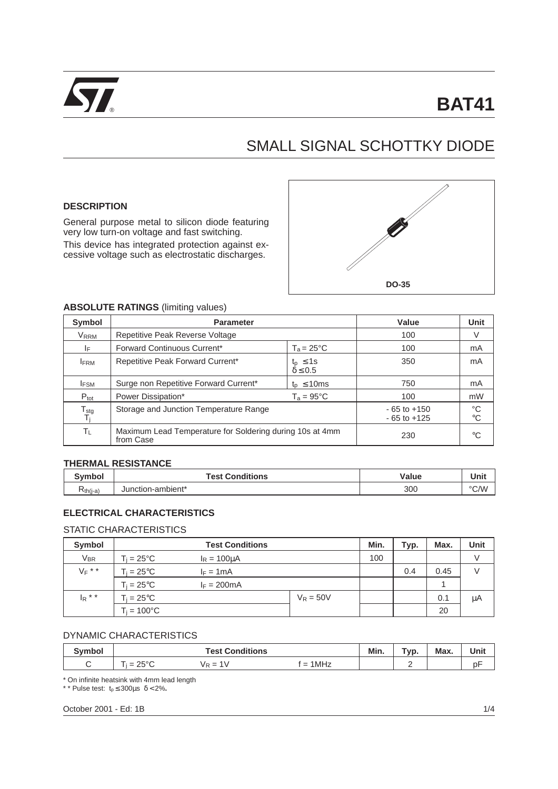

# SMALL SIGNAL SCHOTTKY DIODE

#### **DESCRIPTION**

General purpose metal to silicon diode featuring very low turn-on voltage and fast switching. This device has integrated protection against excessive voltage such as electrostatic discharges.



#### **ABSOLUTE RATINGS** (limiting values)

| Symbol                                       | <b>Parameter</b>                                                      | Value                                 | Unit              |    |
|----------------------------------------------|-----------------------------------------------------------------------|---------------------------------------|-------------------|----|
| VRRM                                         | Repetitive Peak Reverse Voltage                                       | 100                                   | V                 |    |
| IF.                                          | Forward Continuous Current*                                           | 100                                   | mA                |    |
| <b>IFRM</b>                                  | Repetitive Peak Forward Current*                                      | $t_{p} \leq 1$ s<br>$\delta \leq 0.5$ | 350               | mA |
| <b>IFSM</b>                                  | Surge non Repetitive Forward Current*<br>$t_{p} \leq 10$ ms           |                                       | 750               | mA |
| $P_{\text{tot}}$                             | Power Dissipation*<br>$T_a = 95^{\circ}$ C                            |                                       | 100               | mW |
| ${\mathsf T}_{\text{stg}}$<br>T <sub>j</sub> | Storage and Junction Temperature Range                                | $-65$ to $+150$<br>$-65$ to $+125$    | °C<br>$^{\circ}C$ |    |
| $T_L$                                        | Maximum Lead Temperature for Soldering during 10s at 4mm<br>from Case |                                       | 230               | °C |

#### **THERMAL RESISTANCE**

| $\sim$<br>$\cdots$ ho<br>וטעוו | <b>Test Conditions</b> | Value | Unit |
|--------------------------------|------------------------|-------|------|
| ≺ีth(j-a                       | Junction-ambient*      | 300   | °C/W |

### **ELECTRICAL CHARACTERISTICS**

### STATIC CHARACTERISTICS

| Symbol    | <b>Test Conditions</b> |                       |             | Min. | Typ. | Max. | Unit |
|-----------|------------------------|-----------------------|-------------|------|------|------|------|
| $V_{BR}$  | $T_i = 25^{\circ}C$    | $I_R = 100 \mu A$     |             | 100  |      |      | V    |
| $V_F$ * * | $T_i = 25^{\circ}C$    | $I_F = 1mA$           |             |      | 0.4  | 0.45 |      |
|           | $T_i = 25^{\circ}C$    | $I_F = 200 \text{mA}$ |             |      |      |      |      |
| $I_R$ * * | $T_i = 25^{\circ}C$    |                       | $V_R = 50V$ |      |      | 0.1  | μA   |
|           | $T_i = 100^{\circ}C$   |                       |             |      |      | 20   |      |

# DYNAMIC CHARACTERISTICS

| Cumba | <b>Test Conditions</b>                                            |                       |                                                              | Min. | $\overline{\phantom{a}}$<br>Tvp | <b>Max</b> | Unit |
|-------|-------------------------------------------------------------------|-----------------------|--------------------------------------------------------------|------|---------------------------------|------------|------|
|       | $\overline{\phantom{a}}$<br>2500<br>$\overline{\phantom{a}}$<br>້ | V<br><b>VR</b><br>$=$ | 1MHz<br>$\overline{\phantom{0}}$<br>$\overline{\phantom{0}}$ |      | _                               |            | рŀ   |

\* On infinite heatsink with 4mm lead length

\* \* Pulse test:  $t_p \leq 300 \mu s \delta < 2\%$ .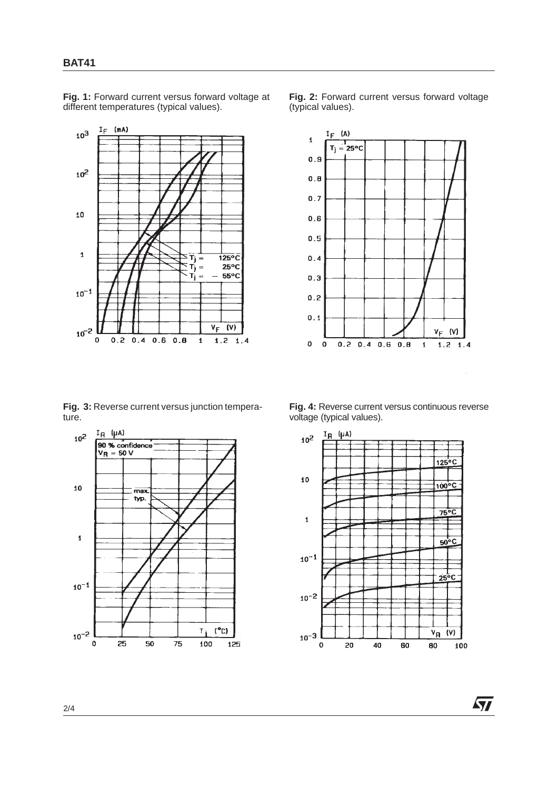2/4

 $10^{-1}$ 

 $10^{-2}$ 

 $\mathbf 0$ 

25

50

75

**Fig. 1:** Forward current versus forward voltage at

different temperatures (typical values).

**BAT41**

**Fig. 3:** Reverse current versus junction tempera-

ture.





 $(^{\circ}C)$  $T_i$ 

125

100







**Fig. 4:** Reverse current versus continuous reverse voltage (typical values).



*ST*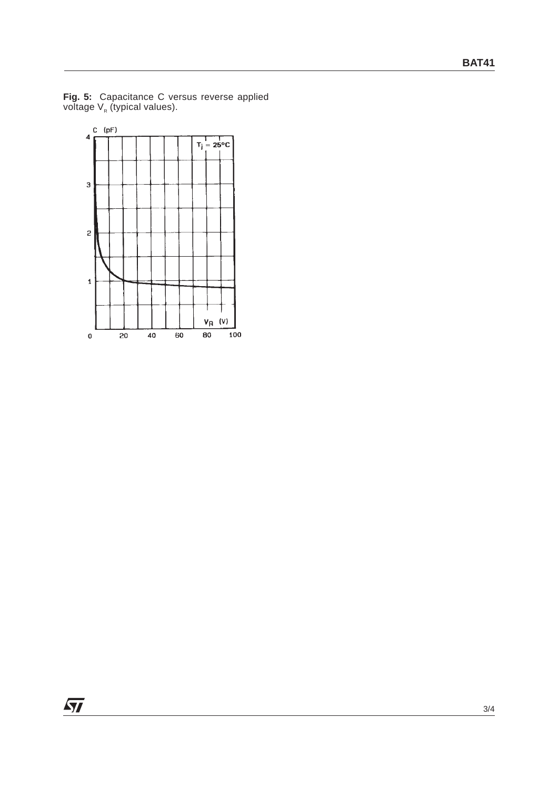

**Fig. 5:** Capacitance C versus reverse applied voltage  $\mathsf{V}_{\mathsf{R}}$  (typical values).